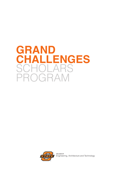# **GRAND CHALLENGES** SCHOLARS PROGRAM



**COLLEGE OF** Engineering, Architecture and Technology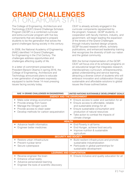# **GRAND CHALLENGES** AT OKLAHOMA STAT

The College of Engineering, Architecture and Technology (CEAT) Grand Challenge Scholars Program (GCSP) is a combined curricular and extra-curricular program with five key components that are designed to prepare students to be the generation that solves the grand challenges facing society in this century.

In 2008, the National Academy of Engineering (NAE) identified 14 Grand Challenges for Engineering in the 21st Century. The challenges address opportunities and challenges affecting quality of life.

In a letter of commitment presented to President Barack Obama in spring 2016, the College of Engineering, Architecture and Technology announced plans to educate a new generation of engineers expressly equipped to tackle these 14 most pressing issues facing society today.

CEAT is already actively engaged in the curricular components represented by the program; however, GCSP students, in cooperation with faculty mentors, industry, and government, will begin leading the expansion of the tenets of the Grand Challenges through industry backed design projects, GCSP focused research efforts, scholarly publications, and enhanced leadership training that recognizes the diversity of both our nation and the global community.

With the formal implementation of the GCSP, CEAT will focus one of its scholars programs on an educational target that integrates research, interdisciplinary curriculum, entrepreneurship, global understanding and service learning, attracting a diverse cohort of students who will embrace innovation and collaboration through sustainable and affordable solutions to global issues like those outlined below.

| <b>NAE 14 GRAND CHALLENGES IN ENGINEERING</b>                                                                                                                                     | UNITED NATIONS SUSTAINABLE DEVELOPMENT GOALS                                                                                                                                                                                                                                          |  |  |  |  |
|-----------------------------------------------------------------------------------------------------------------------------------------------------------------------------------|---------------------------------------------------------------------------------------------------------------------------------------------------------------------------------------------------------------------------------------------------------------------------------------|--|--|--|--|
| <b>ENERGY AND THE ENVIRONMENT</b>                                                                                                                                                 |                                                                                                                                                                                                                                                                                       |  |  |  |  |
| Make solar energy economical<br>Provide energy from fusion<br>Manage the nitrogen cycle<br>$\bullet$<br>Provide access to clean water<br>Develop methods for carbon sequestration | Ensure access to water and sanitation for all<br>$\bullet$<br>Ensure access to affordable, reliable<br>and sustainable energy for all<br>Ensure sustainable consumption and<br>production of natural resources<br>Take action to combat the impacts of<br>$\bullet$<br>climate change |  |  |  |  |
| <b>HEALTH</b>                                                                                                                                                                     |                                                                                                                                                                                                                                                                                       |  |  |  |  |
| Advance health informatics<br>Engineer better medicines                                                                                                                           | End Poverty in all forms<br>$\bullet$<br>End Hunger, achieve food security<br>Improve nutrition & sustainable<br>agriculture                                                                                                                                                          |  |  |  |  |
| <b>SECURITY AND SOCIETY</b>                                                                                                                                                       |                                                                                                                                                                                                                                                                                       |  |  |  |  |
| Restore urban infrastructure<br>Prevent nuclear terror<br>Secure cyberspace                                                                                                       | Build resilient infrastructure and promote<br>sustainable industrialization<br>Participate in global partnerships for<br>sustainable development                                                                                                                                      |  |  |  |  |
| <b>LEARNING AND COMPUTATION</b>                                                                                                                                                   |                                                                                                                                                                                                                                                                                       |  |  |  |  |
| Reverse engineer the brain<br>Enhance virtual reality<br>$\bullet$<br>Advance personalized learning<br>$\bullet$<br>Engineer the tools of scientific discovery                    | Ensure inclusive and quality education for all                                                                                                                                                                                                                                        |  |  |  |  |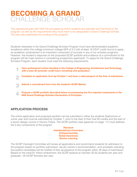# **BECOMING A GRAND** CHALLENGE SCHOLAR

This operational plan sets forth the principles by which students are selected and mentored in the program, as well as the requirements they must meet to be designated a Grand Challenge Scholar. The plan also addresses the funding of the program.

Students interested in the Grand Challenge Scholars Program must have demonstrated academic excellence within the college (minimum college GPA of 3.2 with at least 18 CEAT credit hours) to apply, as academic achievement is an important component of success in any of our scholars programs. However, the student's response on the proposed GCSP portfolio and evidence of a commitment to the program will be major factors in considering prospective applicants. To apply for the Grand Challenge Scholars Program, each student must meet the following requirements:

- **Have professional school standing in the College of Engineering, Architecture and Technology with a least 30 semester credit hours remaining until graduation. 1**
- **Complete an application form by October 1 and have a valid passport at the time of submission. 2**
- **Submit a commitment form from the student's GCSP Mentor. 3**
- **Propose a GCSP portfolio described below encompassing the five required components in the NAE Grand Challenge Scholars Declaration of Principles. 4**

# **APPLICATION PROCESS**

The online application and proposed portfolio can be submitted in either the students Sophomore or Junior year and must be submitted by October 1, prior to the start of their final 30 credits and the start of a senior design course or Honors Thesis. The GCSP portfolio (see appendix on page. 11) must address the 5 key components of the program.

> **Research Interdisciplinary Curriculum Entrepreneurship Global Awareness Service Learning**

The GCSP Oversight Committee will review all applications and recommend students for admission to the program based on portfolio submission, faculty mentor's recommendation, and scholastic standing. Successful candidates will be notified of their acceptance to the program within 30 days of submission. Based on the initial \$1 million endowment, the GCSP expects to maintain 20-50 students per year and graduate ~20 GCSP Scholars per year.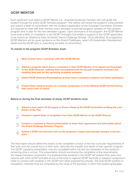# **GCSP MENTOR**

Each applicant must select a GCSP Mentor (i.e., engineering faculty member) who will guide the student through the entire GCSP Scholars program. The mentor will review the student's initial portfolio and submit a letter of commitment with the student's application to the Oversight Committee. Scholars are required to meet with their mentors every semester to provide progress updates on their present program and to plan for the next semester's goals. Upon conclusion of the program, the GCSP Mentor must write a letter of completion to the GCSP Oversight Committee in support of the GCSP application to be named an Oklahoma State University Grand Challenge Scholar. Once identified, all prospective GCSP Mentors will be given guidance on the Grand Challenges, select UN Sustainable Development Goals and the GCSP prior to submitting the letter of commitment.

#### **To remain in the program GCSP Scholars must:**

- **Meet at least twice a semester with their GCSP Mentor 1**
- **Submit a progress report (once a semester) to their GCSP Mentor, to be signed and forwarded to the GCSP Director, outlining their accomplishments for the past academic semester and detailing their plan for the upcoming academic semester 2**
- **Attend GCSP Seminars/Presentations at least twice a semester, organize one before graduation 3**
- **Present their research project at a summit, symposium or at the National GCSP Summit during their senior year of school 4**

**Before or during the final semester of study, GCSP students must:**

- **Submit a final report (10-20 pages) or Honors thesis to the GCSP Committee verifying the completion of the Plan 1**
- **Forward a signed letter of completion from their GCSP Mentor to the GCSP Director 2**
- **Conduct a capstone or Honors presentation to share their experiences and information about the Grand Challenge Scholars Program 3**
- **Submit a GCSP exit interview form on the program's impact and potential changes in the program 4**

The final report should define the means of the completion of each of the five curricular requirements of their plan and the overall focus of their work, describe the breadth and depth of their specific program. The GCSP capstone presentation must be completed within the last two semesters of the student's remaining time in school. This presentation should summarize the completion of the requirements, the research/project component. It is expected that students in the GCSP will present their work and network with other GCSP scholars at one of the local or regional GCSP Summits or research symposia in order to connect with students in the GCSP from other engineering schools. The final GCSP portfolio or completion checklist must be completed by the close of the semester in which the student graduates.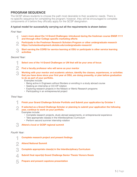# **PROGRAM SEQUENCE**

The GCSP allows students to choose the path most desirable to their academic needs. There is no specific sequence for completing the program; however, they will be encouraged to complete components of it before they officially apply for the GCSP designation.

#### **A typical model for successfully carrying out all the requirements is shown below:**

*First Year:*

- **Learn more about the 14 Grand Challenges: introduced during the freshman course ENGR 1111 and through other College specific marketing efforts 1**
- **Participate in the Freshman Research Scholars Program or other undergraduate research https://scholardevelopment.okstate.edu/undergraduate-research/ 2**
- **Start earning the CORD for service learning at OSU or participate in other service learning activities 3**

#### *Second Year:*

**1**

**Select one of the 14 Grand Challenges or UN that will be your area of focus**

**Find a faculty professor who will serve as your mentor 2**

**Working with your mentor and academic advisor, identify the classes, experiences, or activities that you have done since your first year at OSU, are doing presently, or plan before graduation to do as part of your portfolio. 3**

Examples include:

- Being active in Engineers without Borders or enrolling in a study abroad course
- Seeking an internship or CO-OP rotation
- Exploring research projects in the Niblack or Wentz Research programs
- Participating in an entrepreneurial project

#### *Third Year:*

**Finish your Grand Challenge Scholar Portfolio and Submit your application by October 1 1**

**If selected as a Grand Challenge Scholar or planning to submit your application the following year, continue to work on your portfolio. 2**

Examples include:

- Complete research projects, study abroad assignments, or entrepreneurial experience
- Take appropriate class(s) in the Interdisciplinary Curriculum
- Perform second summer internship rotation

**Attend a local or GCSP regional summit 3**

#### *Fourth Year:*



- **Complete appropriate class(s) in the Interdisciplinary Curriculum 3**
- **Submit final report(s) Grand Challenge Senior Thesis/ Honors thesis 4**
- **Prepare and present capstone presentation 5**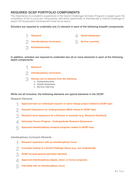# **REQUIRED GCSP PORTFOLIO COMPONENTS**

The importance of a student's experience in the Grand Challenges Scholars Program is based upon the completion of the 5 curricular components, tied either specifically or thematically to Grand Challenge or select UN Sustainable Development Goal focus topics.

#### **Scholars are required to undertake one (1) element in each of the following breadth components:**



**In addition, scholars are required to undertake two (2) or more elements in each of the following depth components:**



- 
- c. Service Learning

**While not all inclusive, the following elements are typical elements in the GCSP:**

#### *Research Elements*

**Approved team (or individual) research or senior design project related to GCSP topic 1**

**Research Experience for Undergraduates (REU) related to GCSP topic 2**

- **Research work experience for a Summer or semester (e.g., Research Assistant) 3**
- **University Honors Program Undergraduate Research Symposium 4**
- **Approved interdisciplinary research programs related to GCSP topic 5**

#### *Interdisciplinary Curriculum Elements*

| Research experience with an interdisciplinary focus                   |
|-----------------------------------------------------------------------|
| Course(s) relating to a Grand Challenge theme (e.g., non-engineering) |
|                                                                       |

- **GCSP focused general education electives 3**
- **Approved interdisciplinary degree, minor, or honors programs 4**
- **Internship with an interdisciplinary focus 5**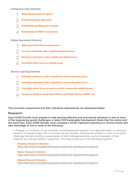#### *Entrepreneurship Elements*

**Riata Entrepreneurs Program Entrepreneurial Research Program Entrepreneurship Internship 1 3 2 Entrepreneurial Minor (2 Courses) 4**

#### *Global Awareness Elements*

- **Approved international experiences 1**
- **Co-op or internship with a significant global focus 2**
- **Research experience with a significant global focus 3**
- **Course(s) which focus on global issues 4**

#### *Service Learning Elements*

- **Volunteer experience with a significant service-learning focus 1**
- **Volunteer experience with a significant service-learning focus 2**
- **Course(s) which focus on service and/or community-related issues 3**
- **Center for Student Leadership, Ethics, and Public Service; SORC, etc. 4**

**The curricular components and their individual requirements are addressed below:**

### **Research**

**Each GCSP Scholar must prepare to help develop effective and economical solutions to one or more of the engineering grand challenges or select UN Sustainable Development Goals that this nation and the world face. Each GCSP Scholar must complete a GCSP Capstone experience or Honors thesis and take advantage of one or more of the following:**

• Engage in a minimum of one semester of undergraduate research in an approved team or individual research or design project with a university faculty member, focusing the research on one of the grand challenge themes including a presentation of their findings/experience and an evaluation of their research by a faculty research supervisor. This may include any of the following programs:

**Freshman Research Scholars** https://admissions.okstate.edu/academics/scholar-development-research

**Wentz Research Scholars** https://admissions.okstate.edu/academics/scholar-development-research

#### **Niblack Research Scholars** https://admissions.okstate.edu/academics/scholar-development-research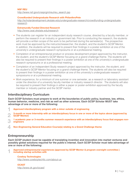#### **Crowdfunded Undergraduate Research with PhilanthroPete**

http://scholardevelopment.okstate.edu/undergraduate-research/crowdfunding-undergraduateresearch

#### **Extramurally Funded Directed Research** http://www.ceat.okstate.edu/research

- The students can register for an independent study research course, directed by a faculty member, or perform the research in an industry or government lab. Prior to conducting the research, the students will provide a written scope of the work to be performed during the semester(s). The prospective work must be approved by the instructor/researcher, the student, and the student's GCSP Mentor. In addition, the students will be required to present their findings in a poster exhibition at one of the university's undergraduate research symposiums or at a professional meeting.
- Completion of an entrepreneurial product or process development project approved by the instructor, the student, and the student's GCSP Mentor focusing on a grand challenge theme. The students will also be required to present their findings in a poster exhibition at one of the university's undergraduate research symposiums or at a professional meeting.
- Completion of an Independent Study research project approved by the instructor, the student, and the student's GCSP Mentor focusing on a grand challenge theme. The students will also be required to present their findings in a poster exhibition at one of the university's undergraduate research symposiums or at a professional meeting.
- Work experience, for a minimum of one summer or one semester, as a research or laboratory assistant under the direction of a university faculty member or industry research director. The students will also be required to present their findings in either a paper or poster exhibition approved by the faculty member or industry partner and the GCSP mentor.

### **Interdisciplinary Curriculum**

**Each GCSP Scholars must prepare to work at the boundaries of public policy, business, law, ethics, human behavior, medicine, and risk as well as other sciences. Each GCSP Scholar MUST take advantage of one or more of the following:**

- **Approved interdisciplinary program with a minor outside of engineering 1**
- **3-month or more Internship with an interdisciplinary focus in one or more of the topics above (approved by GCSP Mentor) 2**
- **1 academic year or 3-months summer research experience with an interdisciplinary focus that engages nonengineers 3**
- **Non-Engineering General Education Course(s) relating to a Grand Challenge theme 4**

### **Entrepreneurship**

**Each GCSP student must be capable of translating invention and innovation into market ventures and possibly global solutions required for the public's interest. Each GCSP Scholar must take advantage of one or more of the following:**

**Approved entrepreneurial experiences (approved by GCSP Mentor & program oversight committee ) including startup activities with 1**

**Cowboy Technologies** http://www.cowboytechllc.com/about-us

**OCAST** http://www.ok.gov/ocast/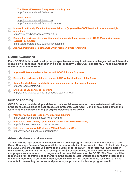**The National Veterans Entrepreneurship Program**

http://riata.okstate.edu/veterans/

#### **Riata Center**

http://riata.okstate.edu/veterans/ http://riata.okstate.edu/startup/incubator/

**Internship with a significant entrepreneurial focus (approved by GCSP Mentor & program oversight committee) 2**

http://www.cowboytechllc.com/about-us

- **Research experience with a significant entrepreneurial focus (approved by GCSP Mentor & program oversight committee)**  https://cied.okstate.edu/CowboyTechnologies **3**
- **Approved Course(s) or Bootcamps which focus on entrepreneurship 4**

# **Global Awareness**

**Each GCSP Scholar must develop the perspective necessary to address challenges that are inherently global as well as to lead innovation in a global economy. Each GCSP Scholar MUST take advantage of one or more of the following:**

- **Approved international experiences with CEAT Scholars Programs 1**
- **Research experience outside of continental US with a significant global focus 2**
- **Course(s) which focus on global issues accompanied by study abroad course**  http://abroad.okstate.edu/ **3**
- **Engineering Study Abroad Programs**  http://ceatde.okstate.edu/2016-schedule-study-abroad **4**

# **Service Learning**

**GCSP Scholars must develop and deepen their social awareness and demonstrate motivation to bring technical expertise to bear on societal problems. Each GCSP Scholar must participate in the leadership of a service learning effort; examples are listed below:**

- **Volunteer with an approved service learning program** http://volunteer.okstate.edu/service-learning **1**
- **Earn the CORD (Creating Opportunities for Responsible Development)** http://volunteer.okstate.edu/cord-program **2**
- **Help lead a project with Engineers Without Borders at OSU** http://www.ewb-osu.okstate.edu/node/24 **2**

# **Administration and Assessment**

**To maintain the high standards expected from a quality program, assessment and success of our Grand Challenge Scholars Program will be the responsibility of everyone involved. To lead this charge, the CEAT Scholars Director will serve as the Director of the GCSP. The Director will participate in the electronic community for the exchange of GCSP best practices, attend workshops and summits, and prepare an annual report of programmatic accomplishments for the GCSP. The Director will be responsible for the training of all mentors in the program requirements and connecting them to the university resources in entrepreneurship, service learning and undergraduate research to assist students in developing portfolios, and previously approved activities for program credit.**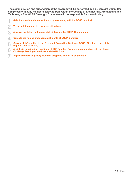**The administration and supervision of the program will be performed by an Oversight Committee comprised of faculty members selected from within the College of Engineering, Architecture and Technology. The GCSP Oversight Committee will be responsible for the following:**

- **Select students and monitor their progress (along with the GCSP Mentor), 1**
- **Verify and document the program objectives, 2**
- **Approve portfolios that successfully integrate the GCSP Components, 3**
- **Compile the names and accomplishments of GCSP Scholars 4**
- **Convey all information to the Oversight Committee Chair and GCSP Director as part of the required annual report, 5**
- **Assist with longitudinal tracking of GCSP Scholars Program in cooperation with the Grand Challenge Steering Committee and the NAE, and 6**
- **Approved interdisciplinary research programs related to GCSP topic 7**